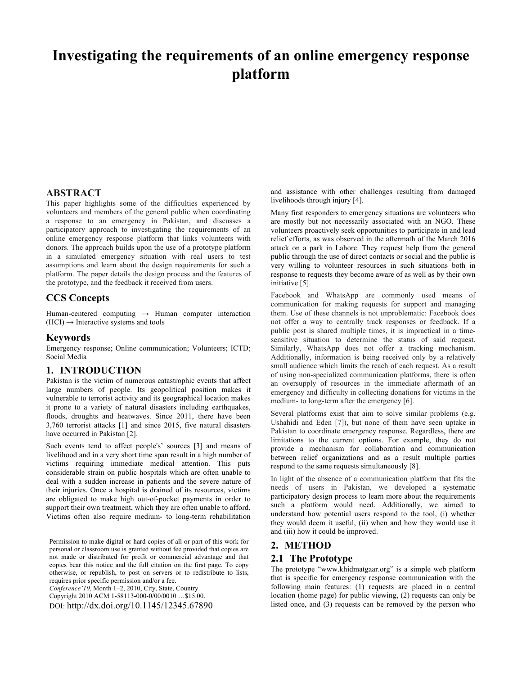# **Investigating the requirements of an online emergency response platform**

## **ABSTRACT**

This paper highlights some of the difficulties experienced by volunteers and members of the general public when coordinating a response to an emergency in Pakistan, and discusses a participatory approach to investigating the requirements of an online emergency response platform that links volunteers with donors. The approach builds upon the use of a prototype platform in a simulated emergency situation with real users to test assumptions and learn about the design requirements for such a platform. The paper details the design process and the features of the prototype, and the feedback it received from users.

## **CCS Concepts**

Human-centered computing  $\rightarrow$  Human computer interaction  $(HCI) \rightarrow Interactive$  systems and tools

#### **Keywords**

Emergency response; Online communication; Volunteers; ICTD; Social Media

## **1. INTRODUCTION**

Pakistan is the victim of numerous catastrophic events that affect large numbers of people. Its geopolitical position makes it vulnerable to terrorist activity and its geographical location makes it prone to a variety of natural disasters including earthquakes, floods, droughts and heatwaves. Since 2011, there have been 3,760 terrorist attacks [1] and since 2015, five natural disasters have occurred in Pakistan [2].

Such events tend to affect people's' sources [3] and means of livelihood and in a very short time span result in a high number of victims requiring immediate medical attention. This puts considerable strain on public hospitals which are often unable to deal with a sudden increase in patients and the severe nature of their injuries. Once a hospital is drained of its resources, victims are obligated to make high out-of-pocket payments in order to support their own treatment, which they are often unable to afford. Victims often also require medium- to long-term rehabilitation

Permission to make digital or hard copies of all or part of this work for personal or classroom use is granted without fee provided that copies are not made or distributed for profit or commercial advantage and that copies bear this notice and the full citation on the first page. To copy otherwise, or republish, to post on servers or to redistribute to lists, requires prior specific permission and/or a fee.

*Conference'10*, Month 1–2, 2010, City, State, Country.

Copyright 2010 ACM 1-58113-000-0/00/0010 …\$15.00.

DOI: http://dx.doi.org/10.1145/12345.67890

and assistance with other challenges resulting from damaged livelihoods through injury [4].

Many first responders to emergency situations are volunteers who are mostly but not necessarily associated with an NGO. These volunteers proactively seek opportunities to participate in and lead relief efforts, as was observed in the aftermath of the March 2016 attack on a park in Lahore. They request help from the general public through the use of direct contacts or social and the public is very willing to volunteer resources in such situations both in response to requests they become aware of as well as by their own initiative [5].

Facebook and WhatsApp are commonly used means of communication for making requests for support and managing them. Use of these channels is not unproblematic: Facebook does not offer a way to centrally track responses or feedback. If a public post is shared multiple times, it is impractical in a timesensitive situation to determine the status of said request. Similarly, WhatsApp does not offer a tracking mechanism. Additionally, information is being received only by a relatively small audience which limits the reach of each request. As a result of using non-specialized communication platforms, there is often an oversupply of resources in the immediate aftermath of an emergency and difficulty in collecting donations for victims in the medium- to long-term after the emergency [6].

Several platforms exist that aim to solve similar problems (e.g. Ushahidi and Eden [7]), but none of them have seen uptake in Pakistan to coordinate emergency response. Regardless, there are limitations to the current options. For example, they do not provide a mechanism for collaboration and communication between relief organizations and as a result multiple parties respond to the same requests simultaneously [8].

In light of the absence of a communication platform that fits the needs of users in Pakistan, we developed a systematic participatory design process to learn more about the requirements such a platform would need. Additionally, we aimed to understand how potential users respond to the tool, (i) whether they would deem it useful, (ii) when and how they would use it and (iii) how it could be improved.

## **2. METHOD**

#### **2.1 The Prototype**

The prototype "www.khidmatgaar.org" is a simple web platform that is specific for emergency response communication with the following main features: (1) requests are placed in a central location (home page) for public viewing, (2) requests can only be listed once, and (3) requests can be removed by the person who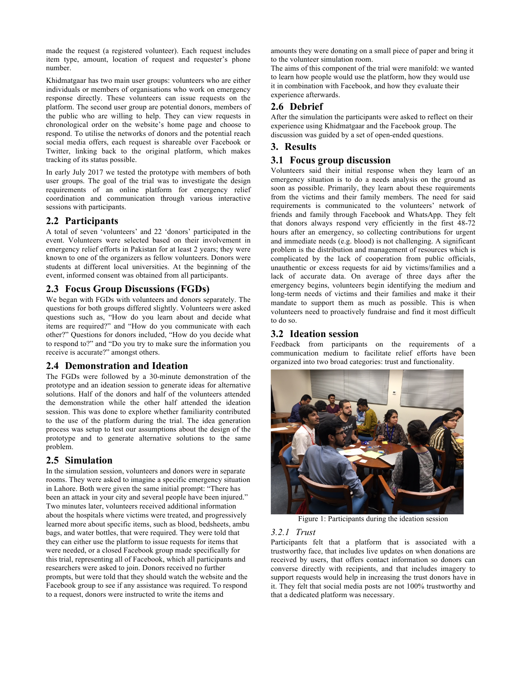made the request (a registered volunteer). Each request includes item type, amount, location of request and requester's phone number.

Khidmatgaar has two main user groups: volunteers who are either individuals or members of organisations who work on emergency response directly. These volunteers can issue requests on the platform. The second user group are potential donors, members of the public who are willing to help. They can view requests in chronological order on the website's home page and choose to respond. To utilise the networks of donors and the potential reach social media offers, each request is shareable over Facebook or Twitter, linking back to the original platform, which makes tracking of its status possible.

In early July 2017 we tested the prototype with members of both user groups. The goal of the trial was to investigate the design requirements of an online platform for emergency relief coordination and communication through various interactive sessions with participants.

## **2.2 Participants**

A total of seven 'volunteers' and 22 'donors' participated in the event. Volunteers were selected based on their involvement in emergency relief efforts in Pakistan for at least 2 years; they were known to one of the organizers as fellow volunteers. Donors were students at different local universities. At the beginning of the event, informed consent was obtained from all participants.

## **2.3 Focus Group Discussions (FGDs)**

We began with FGDs with volunteers and donors separately. The questions for both groups differed slightly. Volunteers were asked questions such as, "How do you learn about and decide what items are required?" and "How do you communicate with each other?" Questions for donors included, "How do you decide what to respond to?" and "Do you try to make sure the information you receive is accurate?" amongst others.

## **2.4 Demonstration and Ideation**

The FGDs were followed by a 30-minute demonstration of the prototype and an ideation session to generate ideas for alternative solutions. Half of the donors and half of the volunteers attended the demonstration while the other half attended the ideation session. This was done to explore whether familiarity contributed to the use of the platform during the trial. The idea generation process was setup to test our assumptions about the design of the prototype and to generate alternative solutions to the same problem.

## **2.5 Simulation**

In the simulation session, volunteers and donors were in separate rooms. They were asked to imagine a specific emergency situation in Lahore. Both were given the same initial prompt: "There has been an attack in your city and several people have been injured." Two minutes later, volunteers received additional information about the hospitals where victims were treated, and progressively learned more about specific items, such as blood, bedsheets, ambu bags, and water bottles, that were required. They were told that they can either use the platform to issue requests for items that were needed, or a closed Facebook group made specifically for this trial, representing all of Facebook, which all participants and researchers were asked to join. Donors received no further prompts, but were told that they should watch the website and the Facebook group to see if any assistance was required. To respond to a request, donors were instructed to write the items and

amounts they were donating on a small piece of paper and bring it to the volunteer simulation room.

The aims of this component of the trial were manifold: we wanted to learn how people would use the platform, how they would use it in combination with Facebook, and how they evaluate their experience afterwards.

# **2.6 Debrief**

After the simulation the participants were asked to reflect on their experience using Khidmatgaar and the Facebook group. The discussion was guided by a set of open-ended questions.

# **3. Results**

# **3.1 Focus group discussion**

Volunteers said their initial response when they learn of an emergency situation is to do a needs analysis on the ground as soon as possible. Primarily, they learn about these requirements from the victims and their family members. The need for said requirements is communicated to the volunteers' network of friends and family through Facebook and WhatsApp. They felt that donors always respond very efficiently in the first 48-72 hours after an emergency, so collecting contributions for urgent and immediate needs (e.g. blood) is not challenging. A significant problem is the distribution and management of resources which is complicated by the lack of cooperation from public officials, unauthentic or excess requests for aid by victims/families and a lack of accurate data. On average of three days after the emergency begins, volunteers begin identifying the medium and long-term needs of victims and their families and make it their mandate to support them as much as possible. This is when volunteers need to proactively fundraise and find it most difficult to do so.

# **3.2 Ideation session**

Feedback from participants on the requirements of a communication medium to facilitate relief efforts have been organized into two broad categories: trust and functionality.



Figure 1: Participants during the ideation session

#### *3.2.1 Trust*

Participants felt that a platform that is associated with a trustworthy face, that includes live updates on when donations are received by users, that offers contact information so donors can converse directly with recipients, and that includes imagery to support requests would help in increasing the trust donors have in it. They felt that social media posts are not 100% trustworthy and that a dedicated platform was necessary.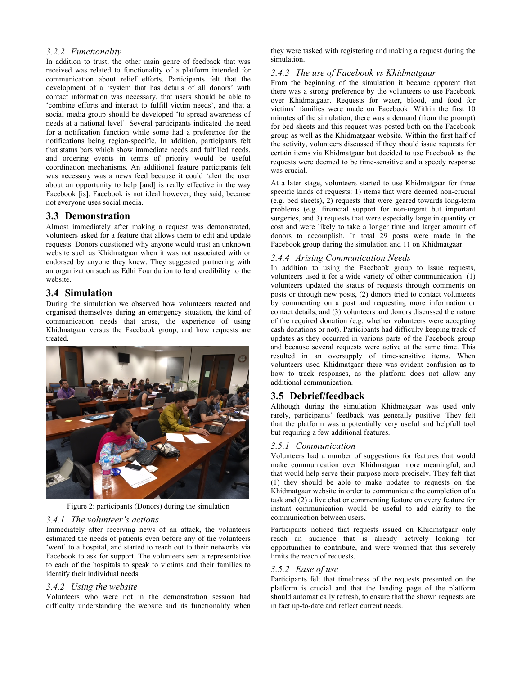#### *3.2.2 Functionality*

In addition to trust, the other main genre of feedback that was received was related to functionality of a platform intended for communication about relief efforts. Participants felt that the development of a 'system that has details of all donors' with contact information was necessary, that users should be able to 'combine efforts and interact to fulfill victim needs', and that a social media group should be developed 'to spread awareness of needs at a national level'. Several participants indicated the need for a notification function while some had a preference for the notifications being region-specific. In addition, participants felt that status bars which show immediate needs and fulfilled needs, and ordering events in terms of priority would be useful coordination mechanisms. An additional feature participants felt was necessary was a news feed because it could 'alert the user about an opportunity to help [and] is really effective in the way Facebook [is]. Facebook is not ideal however, they said, because not everyone uses social media.

## **3.3 Demonstration**

Almost immediately after making a request was demonstrated, volunteers asked for a feature that allows them to edit and update requests. Donors questioned why anyone would trust an unknown website such as Khidmatgaar when it was not associated with or endorsed by anyone they knew. They suggested partnering with an organization such as Edhi Foundation to lend credibility to the website.

## **3.4 Simulation**

During the simulation we observed how volunteers reacted and organised themselves during an emergency situation, the kind of communication needs that arose, the experience of using Khidmatgaar versus the Facebook group, and how requests are treated.



Figure 2: participants (Donors) during the simulation

#### *3.4.1 The volunteer's actions*

Immediately after receiving news of an attack, the volunteers estimated the needs of patients even before any of the volunteers 'went' to a hospital, and started to reach out to their networks via Facebook to ask for support. The volunteers sent a representative to each of the hospitals to speak to victims and their families to identify their individual needs.

#### *3.4.2 Using the website*

Volunteers who were not in the demonstration session had difficulty understanding the website and its functionality when they were tasked with registering and making a request during the simulation.

#### *3.4.3 The use of Facebook vs Khidmatgaar*

From the beginning of the simulation it became apparent that there was a strong preference by the volunteers to use Facebook over Khidmatgaar. Requests for water, blood, and food for victims' families were made on Facebook. Within the first 10 minutes of the simulation, there was a demand (from the prompt) for bed sheets and this request was posted both on the Facebook group as well as the Khidmatgaar website. Within the first half of the activity, volunteers discussed if they should issue requests for certain items via Khidmatgaar but decided to use Facebook as the requests were deemed to be time-sensitive and a speedy response was crucial.

At a later stage, volunteers started to use Khidmatgaar for three specific kinds of requests: 1) items that were deemed non-crucial (e.g. bed sheets), 2) requests that were geared towards long-term problems (e.g. financial support for non-urgent but important surgeries, and 3) requests that were especially large in quantity or cost and were likely to take a longer time and larger amount of donors to accomplish. In total 29 posts were made in the Facebook group during the simulation and 11 on Khidmatgaar.

#### *3.4.4 Arising Communication Needs*

In addition to using the Facebook group to issue requests, volunteers used it for a wide variety of other communication: (1) volunteers updated the status of requests through comments on posts or through new posts, (2) donors tried to contact volunteers by commenting on a post and requesting more information or contact details, and (3) volunteers and donors discussed the nature of the required donation (e.g. whether volunteers were accepting cash donations or not). Participants had difficulty keeping track of updates as they occurred in various parts of the Facebook group and because several requests were active at the same time. This resulted in an oversupply of time-sensitive items. When volunteers used Khidmatgaar there was evident confusion as to how to track responses, as the platform does not allow any additional communication.

## **3.5 Debrief/feedback**

Although during the simulation Khidmatgaar was used only rarely, participants' feedback was generally positive. They felt that the platform was a potentially very useful and helpfull tool but requiring a few additional features.

## *3.5.1 Communication*

Volunteers had a number of suggestions for features that would make communication over Khidmatgaar more meaningful, and that would help serve their purpose more precisely. They felt that (1) they should be able to make updates to requests on the Khidmatgaar website in order to communicate the completion of a task and (2) a live chat or commenting feature on every feature for instant communication would be useful to add clarity to the communication between users.

Participants noticed that requests issued on Khidmatgaar only reach an audience that is already actively looking for opportunities to contribute, and were worried that this severely limits the reach of requests.

#### *3.5.2 Ease of use*

Participants felt that timeliness of the requests presented on the platform is crucial and that the landing page of the platform should automatically refresh, to ensure that the shown requests are in fact up-to-date and reflect current needs.